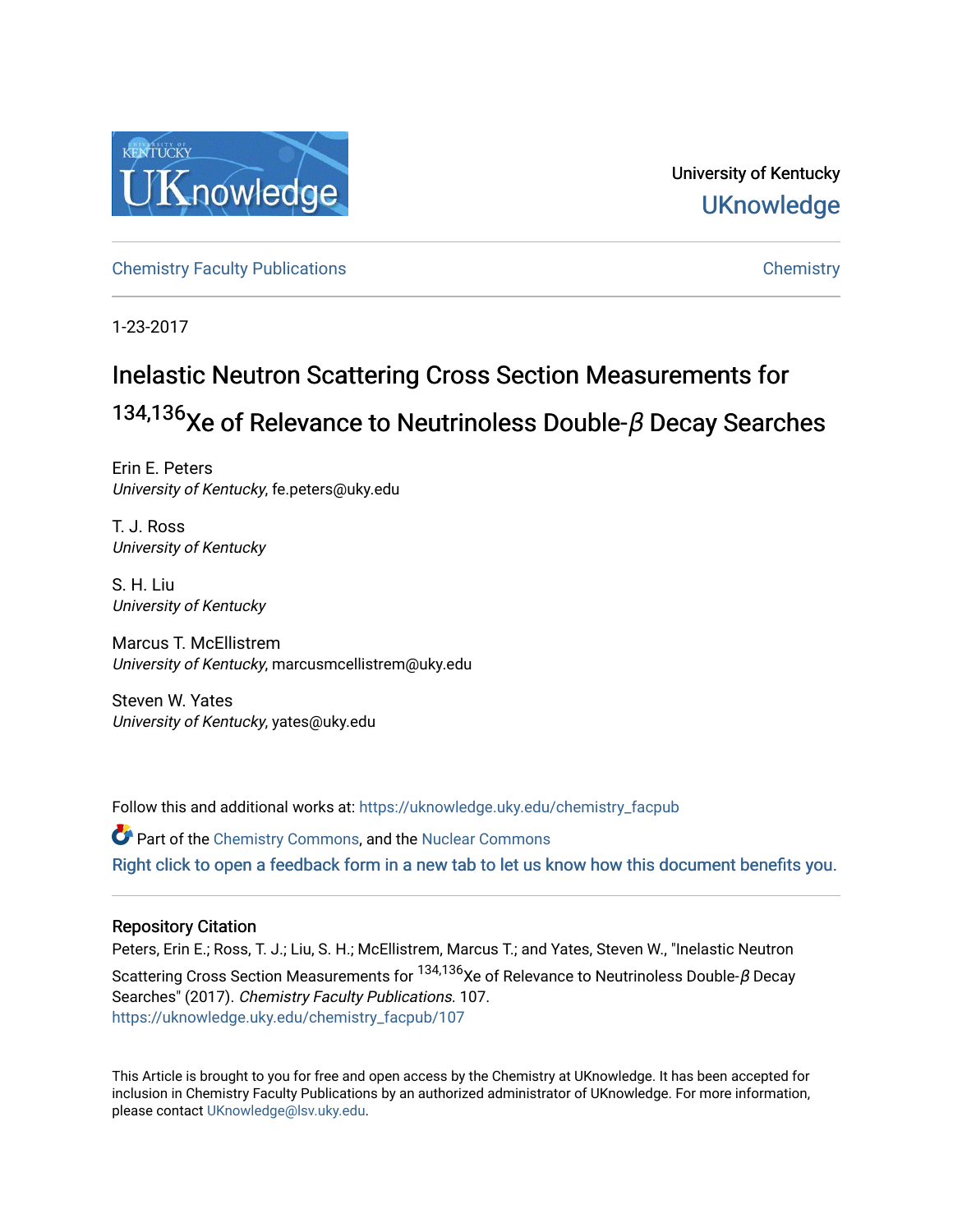

University of Kentucky **UKnowledge** 

[Chemistry Faculty Publications](https://uknowledge.uky.edu/chemistry_facpub) [Chemistry](https://uknowledge.uky.edu/chemistry) 

1-23-2017

# Inelastic Neutron Scattering Cross Section Measurements for  $134,136$ Xe of Relevance to Neutrinoless Double-β Decay Searches

Erin E. Peters University of Kentucky, fe.peters@uky.edu

T. J. Ross University of Kentucky

S. H. Liu University of Kentucky

Marcus T. McEllistrem University of Kentucky, marcusmcellistrem@uky.edu

Steven W. Yates University of Kentucky, yates@uky.edu

Follow this and additional works at: [https://uknowledge.uky.edu/chemistry\\_facpub](https://uknowledge.uky.edu/chemistry_facpub?utm_source=uknowledge.uky.edu%2Fchemistry_facpub%2F107&utm_medium=PDF&utm_campaign=PDFCoverPages)  Part of the [Chemistry Commons,](http://network.bepress.com/hgg/discipline/131?utm_source=uknowledge.uky.edu%2Fchemistry_facpub%2F107&utm_medium=PDF&utm_campaign=PDFCoverPages) and the [Nuclear Commons](http://network.bepress.com/hgg/discipline/203?utm_source=uknowledge.uky.edu%2Fchemistry_facpub%2F107&utm_medium=PDF&utm_campaign=PDFCoverPages) 

[Right click to open a feedback form in a new tab to let us know how this document benefits you.](https://uky.az1.qualtrics.com/jfe/form/SV_9mq8fx2GnONRfz7)

### Repository Citation

Peters, Erin E.; Ross, T. J.; Liu, S. H.; McEllistrem, Marcus T.; and Yates, Steven W., "Inelastic Neutron Scattering Cross Section Measurements for  $134,136$ Xe of Relevance to Neutrinoless Double- $\beta$  Decay Searches" (2017). Chemistry Faculty Publications. 107. [https://uknowledge.uky.edu/chemistry\\_facpub/107](https://uknowledge.uky.edu/chemistry_facpub/107?utm_source=uknowledge.uky.edu%2Fchemistry_facpub%2F107&utm_medium=PDF&utm_campaign=PDFCoverPages) 

This Article is brought to you for free and open access by the Chemistry at UKnowledge. It has been accepted for inclusion in Chemistry Faculty Publications by an authorized administrator of UKnowledge. For more information, please contact [UKnowledge@lsv.uky.edu.](mailto:UKnowledge@lsv.uky.edu)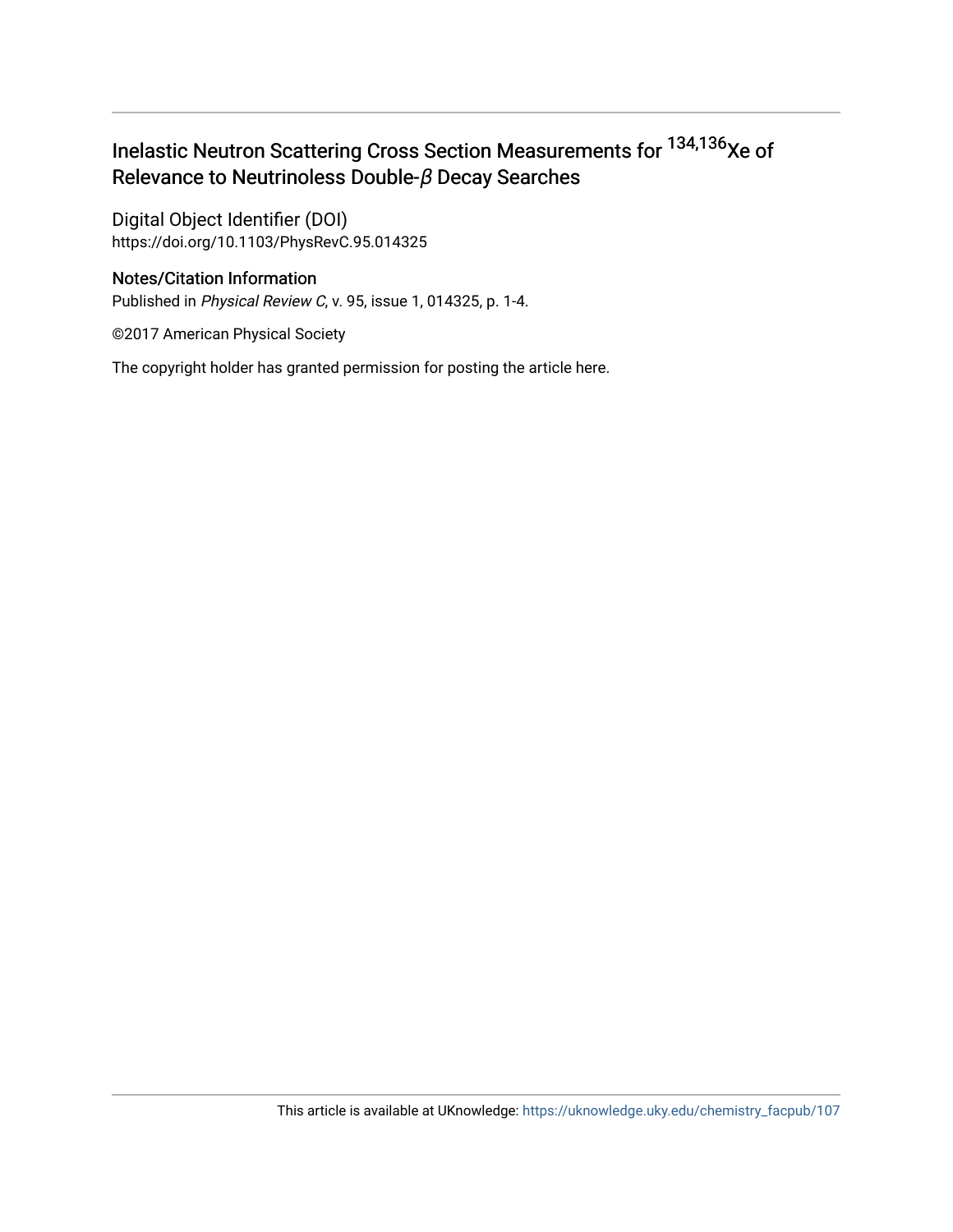# Inelastic Neutron Scattering Cross Section Measurements for <sup>134,136</sup>Xe of Relevance to Neutrinoless Double-β Decay Searches

Digital Object Identifier (DOI) https://doi.org/10.1103/PhysRevC.95.014325

## Notes/Citation Information

Published in Physical Review C, v. 95, issue 1, 014325, p. 1-4.

©2017 American Physical Society

The copyright holder has granted permission for posting the article here.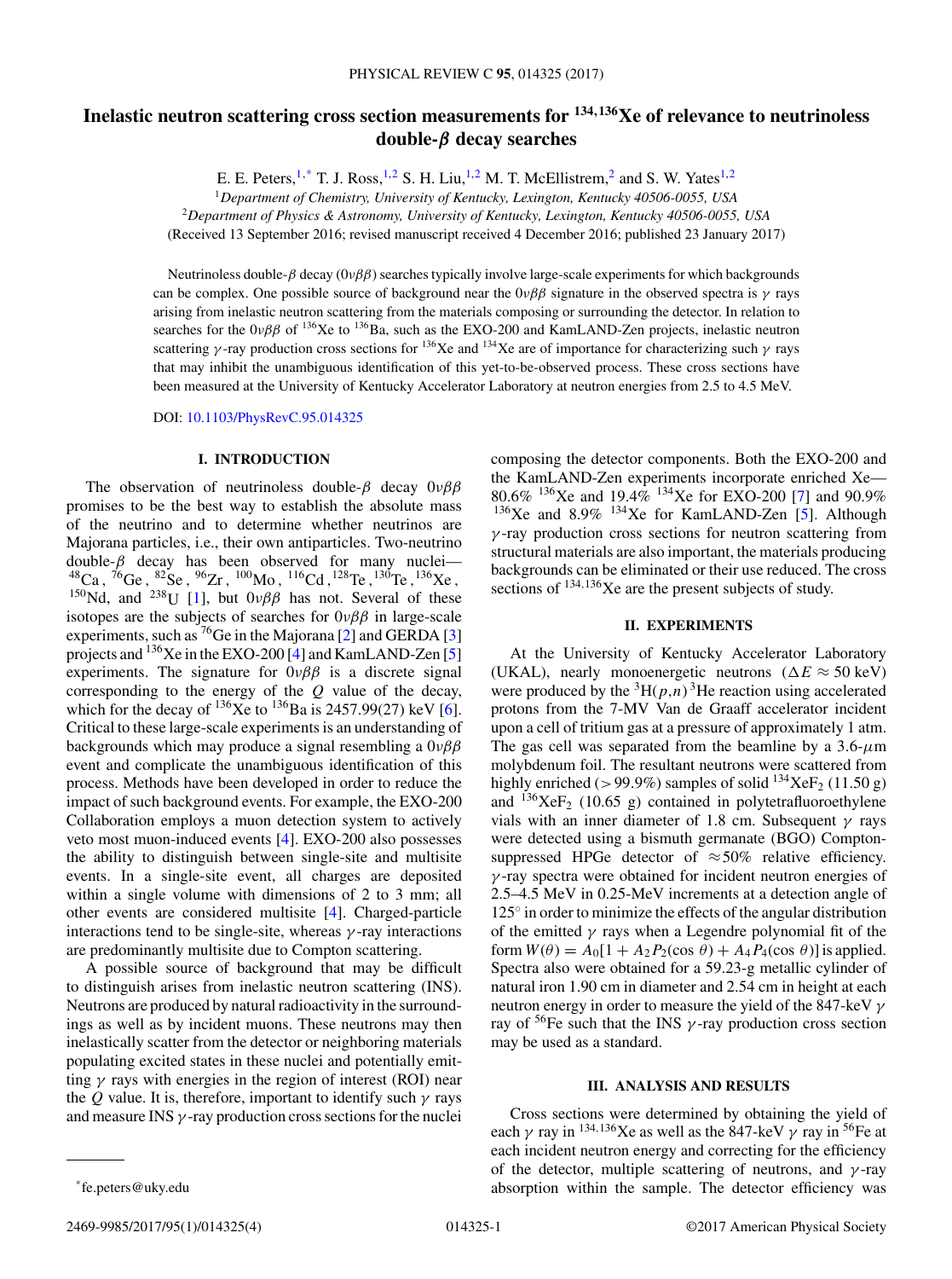# **Inelastic neutron scattering cross section measurements for <sup>134</sup>***,***136Xe of relevance to neutrinoless double-***β* **decay searches**

E. E. Peters,  $1,^*$  T. J. Ross,  $1,^2$  S. H. Liu,  $1,^2$  M. T. McEllistrem,  $^2$  and S. W. Yates  $1,^2$ 

<sup>1</sup>*Department of Chemistry, University of Kentucky, Lexington, Kentucky 40506-0055, USA*

<sup>2</sup>*Department of Physics & Astronomy, University of Kentucky, Lexington, Kentucky 40506-0055, USA*

(Received 13 September 2016; revised manuscript received 4 December 2016; published 23 January 2017)

Neutrinoless double-β decay  $(0νββ)$  searches typically involve large-scale experiments for which backgrounds can be complex. One possible source of background near the  $0\nu\beta\beta$  signature in the observed spectra is  $\gamma$  rays arising from inelastic neutron scattering from the materials composing or surrounding the detector. In relation to searches for the  $0\nu\beta\beta$  of  $^{136}$ Xe to  $^{136}$ Ba, such as the EXO-200 and KamLAND-Zen projects, inelastic neutron scattering γ-ray production cross sections for <sup>136</sup>Xe and <sup>134</sup>Xe are of importance for characterizing such γ rays that may inhibit the unambiguous identification of this yet-to-be-observed process. These cross sections have been measured at the University of Kentucky Accelerator Laboratory at neutron energies from 2.5 to 4.5 MeV.

DOI: [10.1103/PhysRevC.95.014325](https://doi.org/10.1103/PhysRevC.95.014325)

#### **I. INTRODUCTION**

The observation of neutrinoless double- $\beta$  decay  $0\nu\beta\beta$ promises to be the best way to establish the absolute mass of the neutrino and to determine whether neutrinos are Majorana particles, i.e., their own antiparticles. Two-neutrino double- $\beta$  decay has been observed for many nuclei-<sup>48</sup>Ca, <sup>76</sup>Ge, <sup>82</sup>Se, <sup>96</sup>Zr, <sup>100</sup>Mo, <sup>116</sup>Cd, <sup>128</sup>Te, <sup>130</sup>Te, <sup>136</sup>Xe, <sup>150</sup>Nd, and <sup>238</sup>U [\[1\]](#page-5-0), but  $0\nu\beta\beta$  has not. Several of these isotopes are the subjects of searches for  $0\nu\beta\beta$  in large-scale experiments, such as <sup>76</sup>Ge in the Majorana [\[2\]](#page-5-0) and GERDA [\[3\]](#page-5-0) projects and  $^{136}$ Xe in the EXO-200 [\[4\]](#page-5-0) and KamLAND-Zen [\[5\]](#page-5-0) experiments. The signature for  $0\nu\beta\beta$  is a discrete signal corresponding to the energy of the  $Q$  value of the decay, which for the decay of  $^{136}$ Xe to  $^{136}$ Ba is 2457.99(27) keV [\[6\]](#page-5-0). Critical to these large-scale experiments is an understanding of backgrounds which may produce a signal resembling a  $0\nu\beta\beta$ event and complicate the unambiguous identification of this process. Methods have been developed in order to reduce the impact of such background events. For example, the EXO-200 Collaboration employs a muon detection system to actively veto most muon-induced events [\[4\]](#page-5-0). EXO-200 also possesses the ability to distinguish between single-site and multisite events. In a single-site event, all charges are deposited within a single volume with dimensions of 2 to 3 mm; all other events are considered multisite [\[4\]](#page-5-0). Charged-particle interactions tend to be single-site, whereas  $\gamma$ -ray interactions are predominantly multisite due to Compton scattering.

A possible source of background that may be difficult to distinguish arises from inelastic neutron scattering (INS). Neutrons are produced by natural radioactivity in the surroundings as well as by incident muons. These neutrons may then inelastically scatter from the detector or neighboring materials populating excited states in these nuclei and potentially emitting  $\gamma$  rays with energies in the region of interest (ROI) near the Q value. It is, therefore, important to identify such  $\gamma$  rays and measure INS  $\gamma$ -ray production cross sections for the nuclei

composing the detector components. Both the EXO-200 and the KamLAND-Zen experiments incorporate enriched Xe— 80.6% <sup>136</sup>Xe and 19.4% <sup>134</sup>Xe for EXO-200 [\[7\]](#page-5-0) and 90.9%  $136Xe$  and  $8.9\%$   $134Xe$  for KamLAND-Zen [\[5\]](#page-5-0). Although  $\gamma$ -ray production cross sections for neutron scattering from structural materials are also important, the materials producing backgrounds can be eliminated or their use reduced. The cross sections of  $134,136$  Xe are the present subjects of study.

#### **II. EXPERIMENTS**

At the University of Kentucky Accelerator Laboratory (UKAL), nearly monoenergetic neutrons ( $\Delta E \approx 50 \text{ keV}$ ) were produced by the  ${}^{3}H(p,n)$  <sup>3</sup>He reaction using accelerated protons from the 7-MV Van de Graaff accelerator incident upon a cell of tritium gas at a pressure of approximately 1 atm. The gas cell was separated from the beamline by a  $3.6-\mu m$ molybdenum foil. The resultant neutrons were scattered from highly enriched (>99.9%) samples of solid  $^{134}XeF_2$  (11.50 g) and  $^{136}XeF_2$  (10.65 g) contained in polytetrafluoroethylene vials with an inner diameter of 1.8 cm. Subsequent  $\gamma$  rays were detected using a bismuth germanate (BGO) Comptonsuppressed HPGe detector of  $\approx$  50% relative efficiency.  $\gamma$ -ray spectra were obtained for incident neutron energies of 2.5–4.5 MeV in 0.25-MeV increments at a detection angle of 125◦ in order to minimize the effects of the angular distribution of the emitted  $\gamma$  rays when a Legendre polynomial fit of the form  $W(\theta) = A_0[1 + A_2P_2(\cos \theta) + A_4P_4(\cos \theta)]$  is applied. Spectra also were obtained for a 59.23-g metallic cylinder of natural iron 1.90 cm in diameter and 2.54 cm in height at each neutron energy in order to measure the yield of the 847-keV  $\gamma$ ray of  ${}^{56}$ Fe such that the INS  $\gamma$ -ray production cross section may be used as a standard.

#### **III. ANALYSIS AND RESULTS**

Cross sections were determined by obtaining the yield of each  $\gamma$  ray in <sup>134,136</sup>Xe as well as the 847-keV  $\gamma$  ray in <sup>56</sup>Fe at each incident neutron energy and correcting for the efficiency of the detector, multiple scattering of neutrons, and  $\gamma$ -ray absorption within the sample. The detector efficiency was

<sup>\*</sup>fe.peters@uky.edu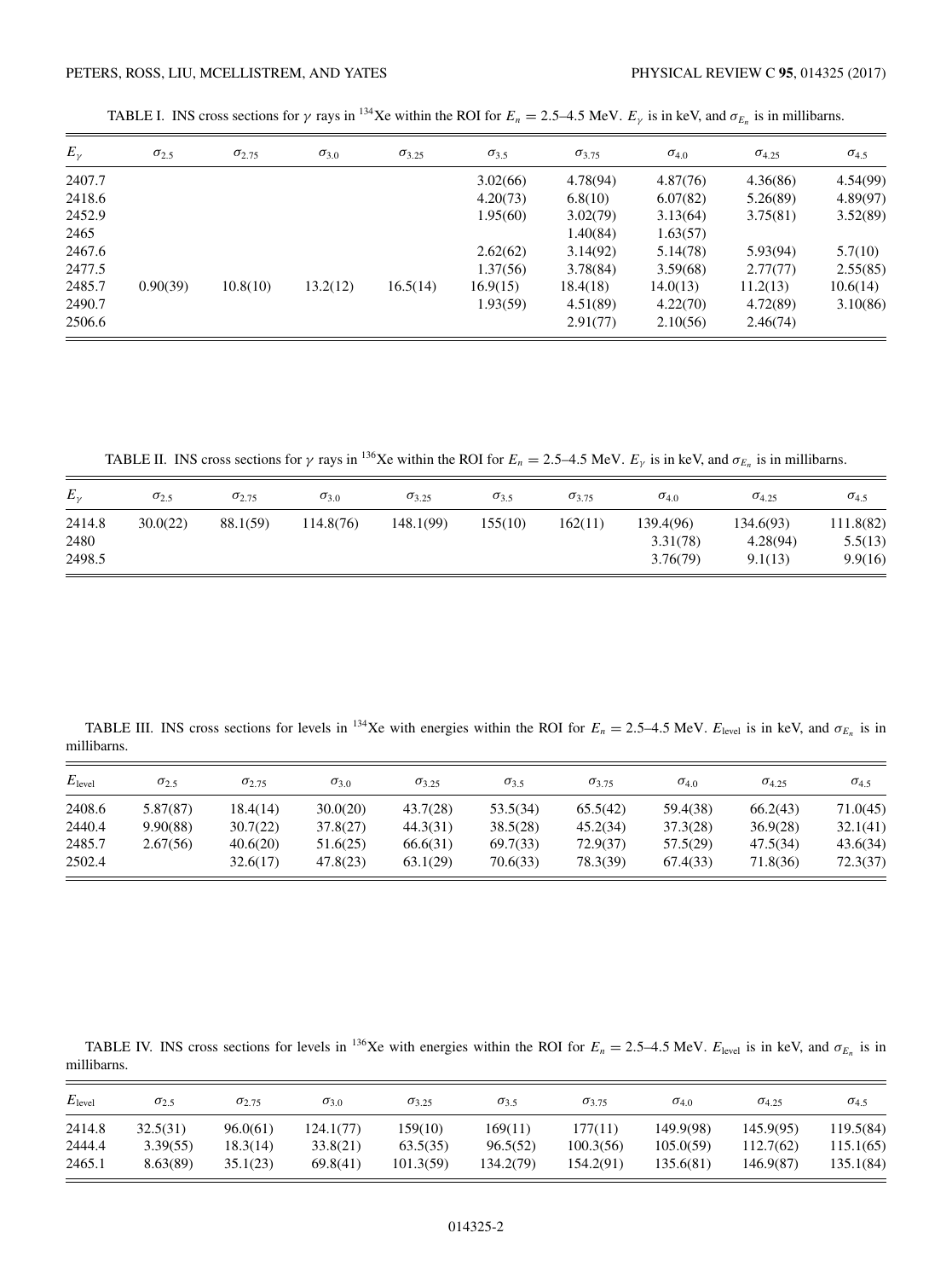<span id="page-3-0"></span>TABLE I. INS cross sections for  $\gamma$  rays in <sup>134</sup>Xe within the ROI for  $E_n = 2.5-4.5$  MeV.  $E_{\gamma}$  is in keV, and  $\sigma_{E_n}$  is in millibarns.

| $E_{\gamma}$ | $\sigma_{2.5}$ | $\sigma_{2.75}$ | $\sigma_{3,0}$ | $\sigma_{3.25}$ | $\sigma_{3.5}$ | $\sigma_{3.75}$ | $\sigma_{4.0}$ | $\sigma_{4.25}$ | $\sigma_{4.5}$ |
|--------------|----------------|-----------------|----------------|-----------------|----------------|-----------------|----------------|-----------------|----------------|
| 2407.7       |                |                 |                |                 | 3.02(66)       | 4.78(94)        | 4.87(76)       | 4.36(86)        | 4.54(99)       |
| 2418.6       |                |                 |                |                 | 4.20(73)       | 6.8(10)         | 6.07(82)       | 5.26(89)        | 4.89(97)       |
| 2452.9       |                |                 |                |                 | 1.95(60)       | 3.02(79)        | 3.13(64)       | 3.75(81)        | 3.52(89)       |
| 2465         |                |                 |                |                 |                | 1.40(84)        | 1.63(57)       |                 |                |
| 2467.6       |                |                 |                |                 | 2.62(62)       | 3.14(92)        | 5.14(78)       | 5.93(94)        | 5.7(10)        |
| 2477.5       |                |                 |                |                 | 1.37(56)       | 3.78(84)        | 3.59(68)       | 2.77(77)        | 2.55(85)       |
| 2485.7       | 0.90(39)       | 10.8(10)        | 13.2(12)       | 16.5(14)        | 16.9(15)       | 18.4(18)        | 14.0(13)       | 11.2(13)        | 10.6(14)       |
| 2490.7       |                |                 |                |                 | 1.93(59)       | 4.51(89)        | 4.22(70)       | 4.72(89)        | 3.10(86)       |
| 2506.6       |                |                 |                |                 |                | 2.91(77)        | 2.10(56)       | 2.46(74)        |                |

TABLE II. INS cross sections for  $\gamma$  rays in <sup>136</sup>Xe within the ROI for  $E_n = 2.5-4.5$  MeV.  $E_{\gamma}$  is in keV, and  $\sigma_{E_n}$  is in millibarns.

| $E_{\nu}$                | $\sigma_{2.5}$ | $\sigma_{2.75}$ | $\sigma_{3,0}$ | $\sigma_{3.25}$ | $\sigma_{3.5}$ | $\sigma_{3.75}$ | $\sigma_{4.0}$                    | $\sigma_{4.25}$                  | $\sigma_{4.5}$                  |
|--------------------------|----------------|-----------------|----------------|-----------------|----------------|-----------------|-----------------------------------|----------------------------------|---------------------------------|
| 2414.8<br>2480<br>2498.5 | 30.0(22)       | 88.1(59)        | 114.8(76)      | 148.1(99)       | 155(10)        | 162(11)         | 139.4(96)<br>3.31(78)<br>3.76(79) | 134.6(93)<br>4.28(94)<br>9.1(13) | 111.8(82)<br>5.5(13)<br>9.9(16) |

TABLE III. INS cross sections for levels in <sup>134</sup>Xe with energies within the ROI for  $E_n = 2.5-4.5$  MeV.  $E_{\text{level}}$  is in keV, and  $\sigma_{E_n}$  is in millibarns.

| $E_{\text{level}}$ | $\sigma$ <sub>2.5</sub> | $\sigma$ <sub>2.75</sub> | $\sigma_{3,0}$ | $\sigma_{3.25}$ | $\sigma_{3.5}$ | $\sigma_{3.75}$ | $\sigma_{4.0}$ | $\sigma_{4.25}$ | $\sigma_{4.5}$ |
|--------------------|-------------------------|--------------------------|----------------|-----------------|----------------|-----------------|----------------|-----------------|----------------|
| 2408.6             | 5.87(87)                | 18.4(14)                 | 30.0(20)       | 43.7(28)        | 53.5(34)       | 65.5(42)        | 59.4(38)       | 66.2(43)        | 71.0(45)       |
| 2440.4             | 9.90(88)                | 30.7(22)                 | 37.8(27)       | 44.3(31)        | 38.5(28)       | 45.2(34)        | 37.3(28)       | 36.9(28)        | 32.1(41)       |
| 2485.7             | 2.67(56)                | 40.6(20)                 | 51.6(25)       | 66.6(31)        | 69.7(33)       | 72.9(37)        | 57.5(29)       | 47.5(34)        | 43.6(34)       |
| 2502.4             |                         | 32.6(17)                 | 47.8(23)       | 63.1(29)        | 70.6(33)       | 78.3(39)        | 67.4(33)       | 71.8(36)        | 72.3(37)       |

TABLE IV. INS cross sections for levels in <sup>136</sup>Xe with energies within the ROI for  $E_n = 2.5-4.5$  MeV.  $E_{\text{level}}$  is in keV, and  $\sigma_{E_n}$  is in millibarns.

| $E_{\text{level}}$ | $\sigma_{2.5}$ | $\sigma_{2.75}$ | $\sigma_{3,0}$ | $\sigma_{3.25}$ | $\sigma_{3.5}$ | $\sigma_{3.75}$ | $\sigma_{4.0}$ | $\sigma_{4.25}$ | $\sigma_{4.5}$ |
|--------------------|----------------|-----------------|----------------|-----------------|----------------|-----------------|----------------|-----------------|----------------|
| 2414.8             | 32.5(31)       | 96.0(61)        | 124.1(77)      | 159(10)         | 169(11)        | 177(11)         | 149.9(98)      | 145.9(95)       | 119.5(84)      |
| 2444.4             | 3.39(55)       | 18.3(14)        | 33.8(21)       | 63.5(35)        | 96.5(52)       | 100.3(56)       | 105.0(59)      | 112.7(62)       | 115.1(65)      |
| 2465.1             | 8.63(89)       | 35.1(23)        | 69.8(41)       | 101.3(59)       | 134.2(79)      | 154.2(91)       | 135.6(81)      | 146.9(87)       | 135.1(84)      |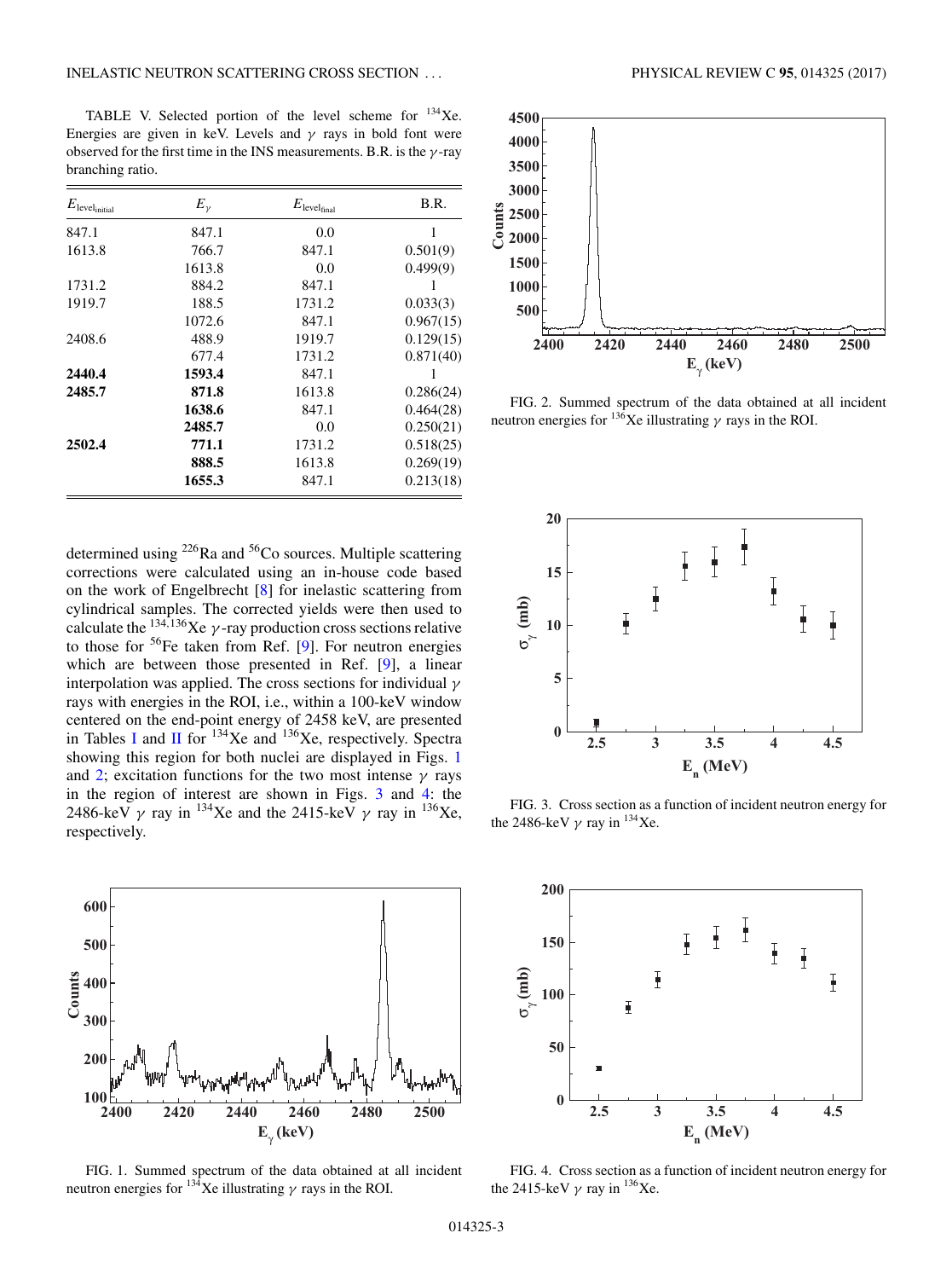<span id="page-4-0"></span>TABLE V. Selected portion of the level scheme for 134Xe. Energies are given in keV. Levels and  $\gamma$  rays in bold font were observed for the first time in the INS measurements. B.R. is the  $\gamma$ -ray branching ratio.

| $E_{\text{level}_{\text{initial}}}$ | $E_{\gamma}$ | $E_{\text{level}_{\text{final}}}$ | B.R.      |
|-------------------------------------|--------------|-----------------------------------|-----------|
| 847.1                               | 847.1        | 0.0                               | 1         |
| 1613.8                              | 766.7        | 847.1                             | 0.501(9)  |
|                                     | 1613.8       | 0.0                               | 0.499(9)  |
| 1731.2                              | 884.2        | 847.1                             | 1         |
| 1919.7                              | 188.5        | 1731.2                            | 0.033(3)  |
|                                     | 1072.6       | 847.1                             | 0.967(15) |
| 2408.6                              | 488.9        | 1919.7                            | 0.129(15) |
|                                     | 677.4        | 1731.2                            | 0.871(40) |
| 2440.4                              | 1593.4       | 847.1                             |           |
| 2485.7                              | 871.8        | 1613.8                            | 0.286(24) |
|                                     | 1638.6       | 847.1                             | 0.464(28) |
|                                     | 2485.7       | 0.0                               | 0.250(21) |
| 2502.4                              | 771.1        | 1731.2                            | 0.518(25) |
|                                     | 888.5        | 1613.8                            | 0.269(19) |
|                                     | 1655.3       | 847.1                             | 0.213(18) |

determined using <sup>226</sup>Ra and <sup>56</sup>Co sources. Multiple scattering corrections were calculated using an in-house code based on the work of Engelbrecht [\[8\]](#page-5-0) for inelastic scattering from cylindrical samples. The corrected yields were then used to calculate the  $^{134,136}$ Xe  $\gamma$ -ray production cross sections relative to those for  $56$ Fe taken from Ref. [\[9\]](#page-5-0). For neutron energies which are between those presented in Ref. [\[9\]](#page-5-0), a linear interpolation was applied. The cross sections for individual  $\gamma$ rays with energies in the ROI, i.e., within a 100-keV window centered on the end-point energy of 2458 keV, are presented in Tables [I](#page-3-0) and [II](#page-3-0) for  $^{134}$ Xe and  $^{136}$ Xe, respectively. Spectra showing this region for both nuclei are displayed in Figs. 1 and 2; excitation functions for the two most intense  $\gamma$  rays in the region of interest are shown in Figs. 3 and 4: the 2486-keV  $\gamma$  ray in <sup>134</sup>Xe and the 2415-keV  $\gamma$  ray in <sup>136</sup>Xe, respectively.







FIG. 2. Summed spectrum of the data obtained at all incident neutron energies for  $^{136}$ Xe illustrating  $\gamma$  rays in the ROI.



FIG. 3. Cross section as a function of incident neutron energy for the 2486-keV  $\gamma$  ray in <sup>134</sup>Xe.



FIG. 4. Cross section as a function of incident neutron energy for the 2415-keV  $\gamma$  ray in <sup>136</sup>Xe.